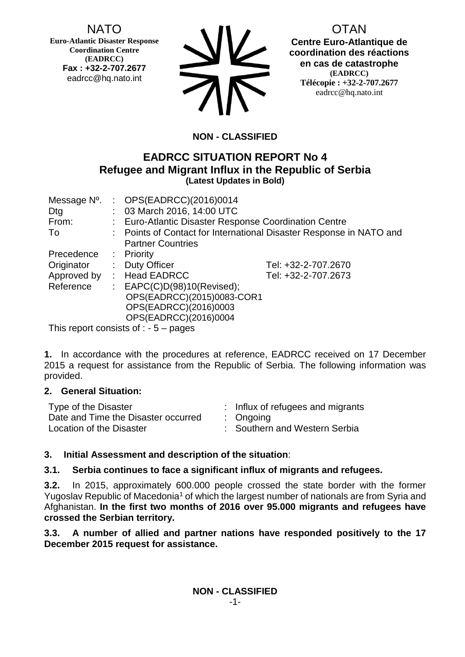# NATO

**Euro-Atlantic Disaster Response Coordination Centre (EADRCC) Fax : +32-2-707.2677** eadrcc@hq.nato.int



**DTAN Centre Euro-Atlantique de coordination des réactions en cas de catastrophe (EADRCC) Télécopie : +32-2-707.2677** eadrcc@hq.nato.int

# **NON - CLASSIFIED**

## **EADRCC SITUATION REPORT No 4 Refugee and Migrant Influx in the Republic of Serbia (Latest Updates in Bold)**

| Message N°. |                       | : OPS(EADRCC)(2016)0014                                             |                     |
|-------------|-----------------------|---------------------------------------------------------------------|---------------------|
| Dtg         |                       | : 03 March 2016, 14:00 UTC                                          |                     |
| From:       |                       | : Euro-Atlantic Disaster Response Coordination Centre               |                     |
| To          |                       | : Points of Contact for International Disaster Response in NATO and |                     |
|             |                       | <b>Partner Countries</b>                                            |                     |
| Precedence  |                       | $:$ Priority                                                        |                     |
| Originator  | $\mathbb{Z}^{\times}$ | <b>Duty Officer</b>                                                 | Tel: +32-2-707.2670 |
| Approved by |                       | : Head EADRCC                                                       | Tel: +32-2-707.2673 |
| Reference   |                       | : $EAPC(C)D(98)10(Revised);$                                        |                     |
|             |                       | OPS(EADRCC)(2015)0083-COR1                                          |                     |
|             |                       | OPS(EADRCC)(2016)0003                                               |                     |
|             |                       | OPS(EADRCC)(2016)0004                                               |                     |
|             |                       | $\tau_{\text{bin}}$ separate conclude of $\tau$ seems $\tau$        |                     |

This report consists of : - 5 – pages

**1.** In accordance with the procedures at reference, EADRCC received on 17 December 2015 a request for assistance from the Republic of Serbia. The following information was provided.

## **2. General Situation:**

| Type of the Disaster                | : Influx of refugees and migrants |
|-------------------------------------|-----------------------------------|
| Date and Time the Disaster occurred | $:$ Ongoing                       |
| Location of the Disaster            | : Southern and Western Serbia     |

## **3. Initial Assessment and description of the situation**:

## **3.1. Serbia continues to face a significant influx of migrants and refugees.**

**3.2.** In 2015, approximately 600.000 people crossed the state border with the former Yugoslav Republic of Macedonia<sup>1</sup> of which the largest number of nationals are from Syria and Afghanistan. **In the first two months of 2016 over 95.000 migrants and refugees have crossed the Serbian territory.**

**3.3. A number of allied and partner nations have responded positively to the 17 December 2015 request for assistance.**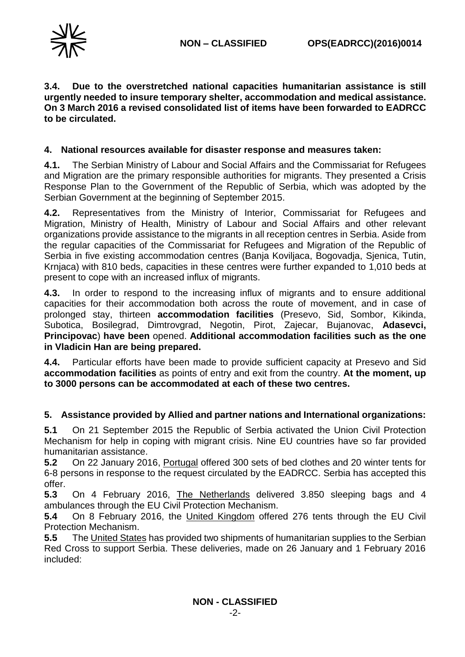

**3.4. Due to the overstretched national capacities humanitarian assistance is still urgently needed to insure temporary shelter, accommodation and medical assistance. On 3 March 2016 a revised consolidated list of items have been forwarded to EADRCC to be circulated.**

#### **4. National resources available for disaster response and measures taken:**

**4.1.** The Serbian Ministry of Labour and Social Affairs and the Commissariat for Refugees and Migration are the primary responsible authorities for migrants. They presented a Crisis Response Plan to the Government of the Republic of Serbia, which was adopted by the Serbian Government at the beginning of September 2015.

**4.2.** Representatives from the Ministry of Interior, Commissariat for Refugees and Migration, Ministry of Health, Ministry of Labour and Social Affairs and other relevant organizations provide assistance to the migrants in all reception centres in Serbia. Aside from the regular capacities of the Commissariat for Refugees and Migration of the Republic of Serbia in five existing accommodation centres (Banja Koviljaca, Bogovadja, Sjenica, Tutin, Krnjaca) with 810 beds, capacities in these centres were further expanded to 1,010 beds at present to cope with an increased influx of migrants.

**4.3.** In order to respond to the increasing influx of migrants and to ensure additional capacities for their accommodation both across the route of movement, and in case of prolonged stay, thirteen **accommodation facilities** (Presevo, Sid, Sombor, Kikinda, Subotica, Bosilegrad, Dimtrovgrad, Negotin, Pirot, Zajecar, Bujanovac, **Adasevci, Principovac**) **have been** opened. **Additional accommodation facilities such as the one in Vladicin Han are being prepared.**

**4.4.** Particular efforts have been made to provide sufficient capacity at Presevo and Sid **accommodation facilities** as points of entry and exit from the country. **At the moment, up to 3000 persons can be accommodated at each of these two centres.**

## **5. Assistance provided by Allied and partner nations and International organizations:**

**5.1** On 21 September 2015 the Republic of Serbia activated the Union Civil Protection Mechanism for help in coping with migrant crisis. Nine EU countries have so far provided humanitarian assistance.

**5.2** On 22 January 2016, Portugal offered 300 sets of bed clothes and 20 winter tents for 6-8 persons in response to the request circulated by the EADRCC. Serbia has accepted this offer.

**5.3** On 4 February 2016, The Netherlands delivered 3.850 sleeping bags and 4 ambulances through the EU Civil Protection Mechanism.

**5.4** On 8 February 2016, the United Kingdom offered 276 tents through the EU Civil Protection Mechanism.

**5.5** The United States has provided two shipments of humanitarian supplies to the Serbian Red Cross to support Serbia. These deliveries, made on 26 January and 1 February 2016 included: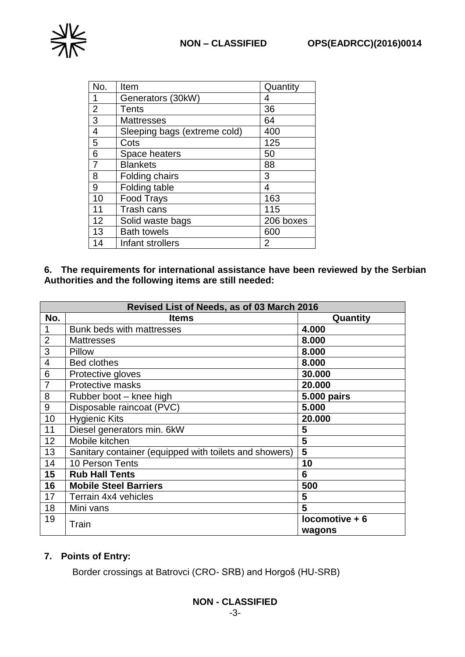

| No.            | Item                         | Quantity       |
|----------------|------------------------------|----------------|
| 1              | Generators (30kW)            | 4              |
| $\overline{2}$ | Tents                        | 36             |
| 3              | <b>Mattresses</b>            | 64             |
| 4              | Sleeping bags (extreme cold) | 400            |
| 5              | Cots                         | 125            |
| 6              | Space heaters                | 50             |
| 7              | <b>Blankets</b>              | 88             |
| 8              | Folding chairs               | 3              |
| 9              | Folding table                | 4              |
| 10             | <b>Food Trays</b>            | 163            |
| 11             | Trash cans                   | 115            |
| 12             | Solid waste bags             | 206 boxes      |
| 13             | <b>Bath towels</b>           | 600            |
| 14             | Infant strollers             | $\overline{2}$ |

**6. The requirements for international assistance have been reviewed by the Serbian Authorities and the following items are still needed:**

| Revised List of Needs, as of 03 March 2016 |                                                        |                            |
|--------------------------------------------|--------------------------------------------------------|----------------------------|
| No.                                        | <b>Items</b>                                           | Quantity                   |
| 1                                          | Bunk beds with mattresses                              | 4.000                      |
| $\overline{2}$                             | <b>Mattresses</b>                                      | 8.000                      |
| 3                                          | Pillow                                                 | 8.000                      |
| $\overline{\mathbf{4}}$                    | <b>Bed clothes</b>                                     | 8.000                      |
| 6                                          | Protective gloves                                      | 30.000                     |
| $\overline{7}$                             | Protective masks                                       | 20.000                     |
| 8                                          | Rubber boot - knee high                                | 5.000 pairs                |
| 9                                          | Disposable raincoat (PVC)                              | 5.000                      |
| 10                                         | <b>Hygienic Kits</b>                                   | 20.000                     |
| 11                                         | Diesel generators min. 6kW                             | 5                          |
| 12                                         | Mobile kitchen                                         | 5                          |
| 13                                         | Sanitary container (equipped with toilets and showers) | 5                          |
| 14                                         | 10 Person Tents                                        | 10                         |
| 15                                         | <b>Rub Hall Tents</b>                                  | 6                          |
| 16                                         | <b>Mobile Steel Barriers</b>                           | 500                        |
| 17                                         | Terrain 4x4 vehicles                                   | 5                          |
| 18                                         | Mini vans                                              | 5                          |
| 19                                         | Train                                                  | $locomotive + 6$<br>wagons |

## **7. Points of Entry:**

Border crossings at Batrovci (CRO- SRB) and Horgoš (HU-SRB)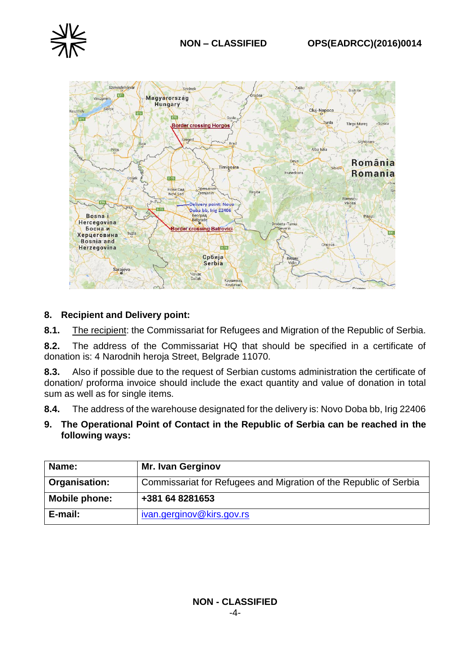



## **8. Recipient and Delivery point:**

**8.1.** The recipient: the Commissariat for Refugees and Migration of the Republic of Serbia.

**8.2.** The address of the Commissariat HQ that should be specified in a certificate of donation is: 4 Narodnih heroja Street, Belgrade 11070.

**8.3.** Also if possible due to the request of Serbian customs administration the certificate of donation/ proforma invoice should include the exact quantity and value of donation in total sum as well as for single items.

**8.4.** The address of the warehouse designated for the delivery is: Novo Doba bb, Irig 22406

**9. The Operational Point of Contact in the Republic of Serbia can be reached in the following ways:**

| Name:         | <b>Mr. Ivan Gerginov</b>                                          |
|---------------|-------------------------------------------------------------------|
| Organisation: | Commissariat for Refugees and Migration of the Republic of Serbia |
| Mobile phone: | +381 64 8281653                                                   |
| E-mail:       | ivan.gerginov@kirs.gov.rs                                         |